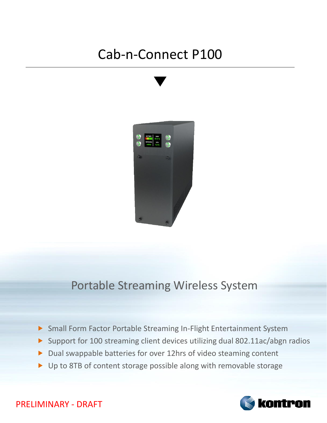## Cab-n-Connect P100



## Portable Streaming Wireless System

- Small Form Factor Portable Streaming In-Flight Entertainment System
- Support for 100 streaming client devices utilizing dual 802.11ac/abgn radios
- Dual swappable batteries for over 12hrs of video steaming content
- ▶ Up to 8TB of content storage possible along with removable storage



PRELIMINARY - DRAFT